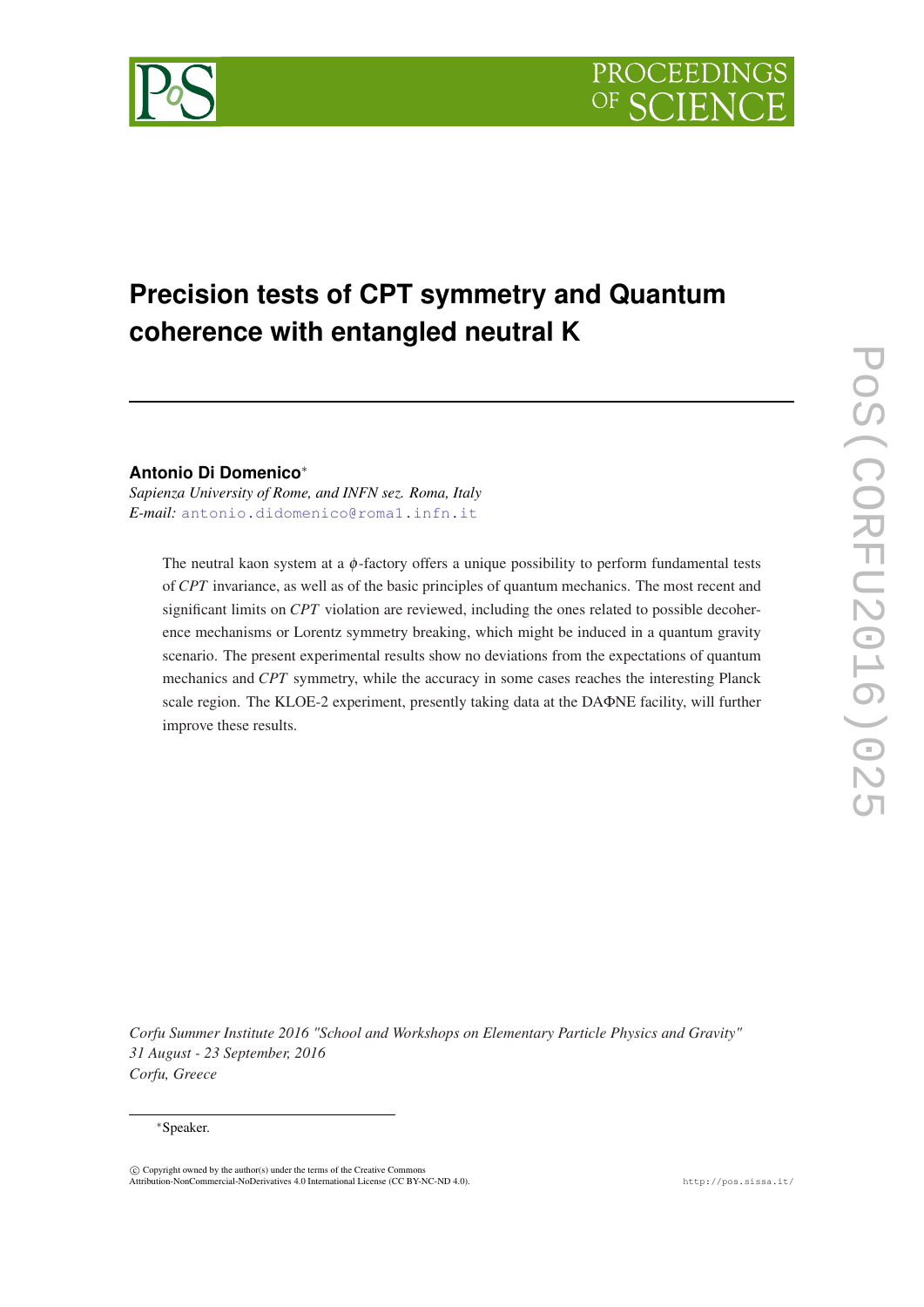# **Precision tests of CPT symmetry and Quantum coherence with entangled neutral K**

# **Antonio Di Domenico**<sup>∗</sup>

*Sapienza University of Rome, and INFN sez. Roma, Italy E-mail:* [antonio.didomenico@roma1.infn.it](mailto:antonio.didomenico@roma1.infn.it)

The neutral kaon system at a  $\phi$ -factory offers a unique possibility to perform fundamental tests of *CPT* invariance, as well as of the basic principles of quantum mechanics. The most recent and significant limits on *CPT* violation are reviewed, including the ones related to possible decoherence mechanisms or Lorentz symmetry breaking, which might be induced in a quantum gravity scenario. The present experimental results show no deviations from the expectations of quantum mechanics and *CPT* symmetry, while the accuracy in some cases reaches the interesting Planck scale region. The KLOE-2 experiment, presently taking data at the DAΦNE facility, will further improve these results.

*Corfu Summer Institute 2016 "School and Workshops on Elementary Particle Physics and Gravity" 31 August - 23 September, 2016 Corfu, Greece*

#### <sup>∗</sup>Speaker.

 $\overline{c}$  Copyright owned by the author(s) under the terms of the Creative Common Attribution-NonCommercial-NoDerivatives 4.0 International License (CC BY-NC-ND 4.0). http://pos.sissa.it/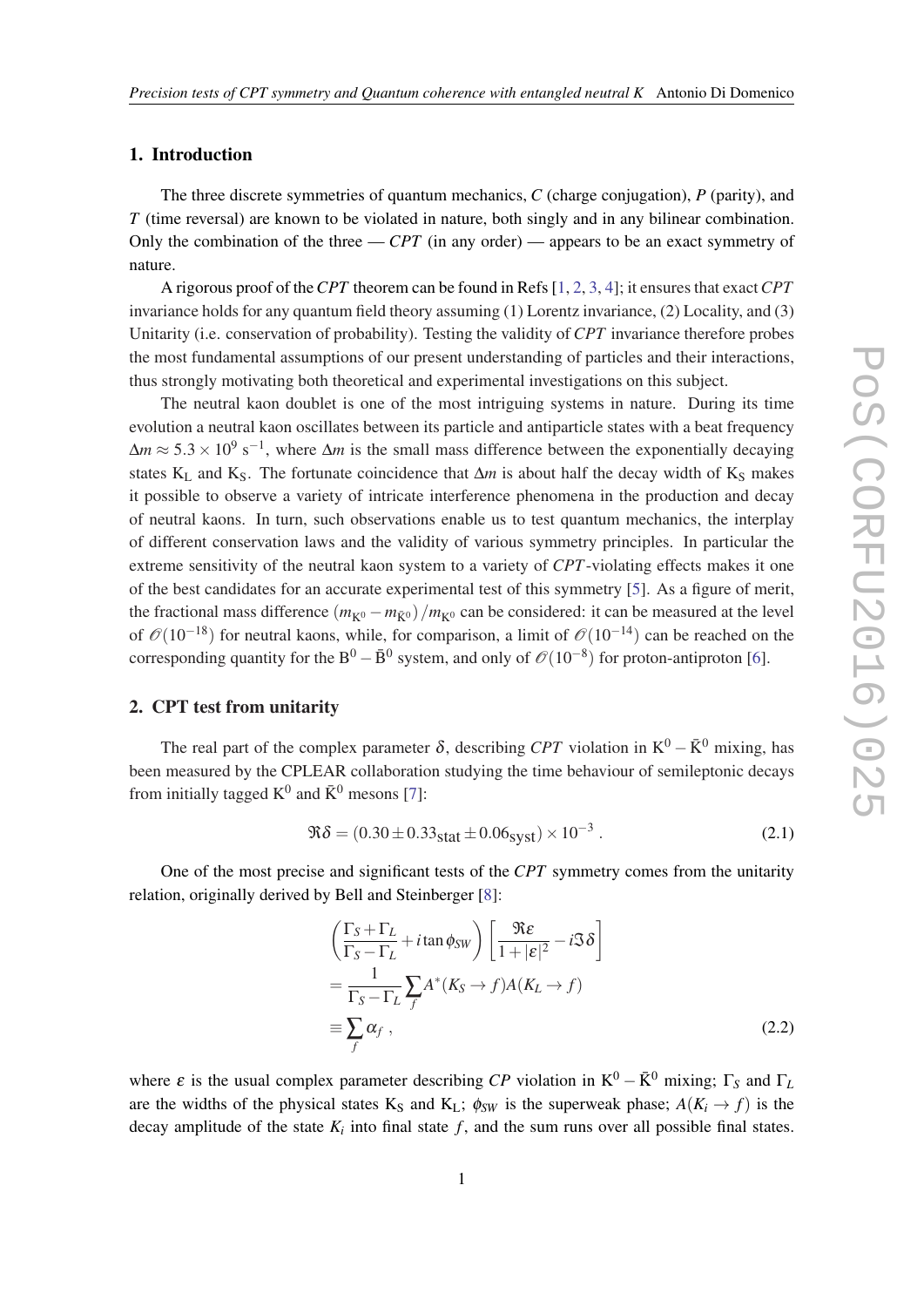# <span id="page-1-0"></span>1. Introduction

The three discrete symmetries of quantum mechanics, *C* (charge conjugation), *P* (parity), and *T* (time reversal) are known to be violated in nature, both singly and in any bilinear combination. Only the combination of the three  $-$  *CPT* (in any order) — appears to be an exact symmetry of nature.

A rigorous proof of the*CPT* theorem can be found in Refs [\[1,](#page-8-0) [2,](#page-8-0) [3](#page-8-0), [4](#page-8-0)]; it ensures that exact*CPT* invariance holds for any quantum field theory assuming (1) Lorentz invariance, (2) Locality, and (3) Unitarity (i.e. conservation of probability). Testing the validity of *CPT* invariance therefore probes the most fundamental assumptions of our present understanding of particles and their interactions, thus strongly motivating both theoretical and experimental investigations on this subject.

The neutral kaon doublet is one of the most intriguing systems in nature. During its time evolution a neutral kaon oscillates between its particle and antiparticle states with a beat frequency  $\Delta m \approx 5.3 \times 10^9 \text{ s}^{-1}$ , where  $\Delta m$  is the small mass difference between the exponentially decaying states K<sub>L</sub> and K<sub>S</sub>. The fortunate coincidence that  $\Delta m$  is about half the decay width of K<sub>S</sub> makes it possible to observe a variety of intricate interference phenomena in the production and decay of neutral kaons. In turn, such observations enable us to test quantum mechanics, the interplay of different conservation laws and the validity of various symmetry principles. In particular the extreme sensitivity of the neutral kaon system to a variety of *CPT*-violating effects makes it one of the best candidates for an accurate experimental test of this symmetry [\[5\]](#page-8-0). As a figure of merit, the fractional mass difference  $(m_{K^0} - m_{\bar{K}^0})/m_{K^0}$  can be considered: it can be measured at the level of  $\mathcal{O}(10^{-18})$  for neutral kaons, while, for comparison, a limit of  $\mathcal{O}(10^{-14})$  can be reached on the corresponding quantity for the B<sup>0</sup> –  $\bar{B}^0$  system, and only of  $\mathcal{O}(10^{-8})$  for proton-antiproton [[6](#page-8-0)].

# 2. CPT test from unitarity

The real part of the complex parameter  $\delta$ , describing *CPT* violation in K<sup>0</sup> –  $\bar{K}^0$  mixing, has been measured by the CPLEAR collaboration studying the time behaviour of semileptonic decays from initially tagged  $K^0$  and  $\bar{K}^0$  mesons [\[7\]](#page-8-0):

$$
\Re \delta = (0.30 \pm 0.33_{\text{stat}} \pm 0.06_{\text{syst}}) \times 10^{-3} \,. \tag{2.1}
$$

One of the most precise and significant tests of the *CPT* symmetry comes from the unitarity relation, originally derived by Bell and Steinberger [[8](#page-8-0)]:

$$
\left(\frac{\Gamma_S + \Gamma_L}{\Gamma_S - \Gamma_L} + i \tan \phi_{SW}\right) \left[\frac{\Re \varepsilon}{1 + |\varepsilon|^2} - i \Im \delta\right]
$$
  
= 
$$
\frac{1}{\Gamma_S - \Gamma_L} \sum_f A^*(K_S \to f) A(K_L \to f)
$$
  
\equiv 
$$
\sum_f \alpha_f,
$$
 (2.2)

where  $\varepsilon$  is the usual complex parameter describing *CP* violation in  $K^0 - \bar{K}^0$  mixing;  $\Gamma_S$  and  $\Gamma_L$ are the widths of the physical states K<sub>S</sub> and K<sub>L</sub>;  $\phi_{SW}$  is the superweak phase;  $A(K_i \rightarrow f)$  is the decay amplitude of the state  $K_i$  into final state  $f$ , and the sum runs over all possible final states.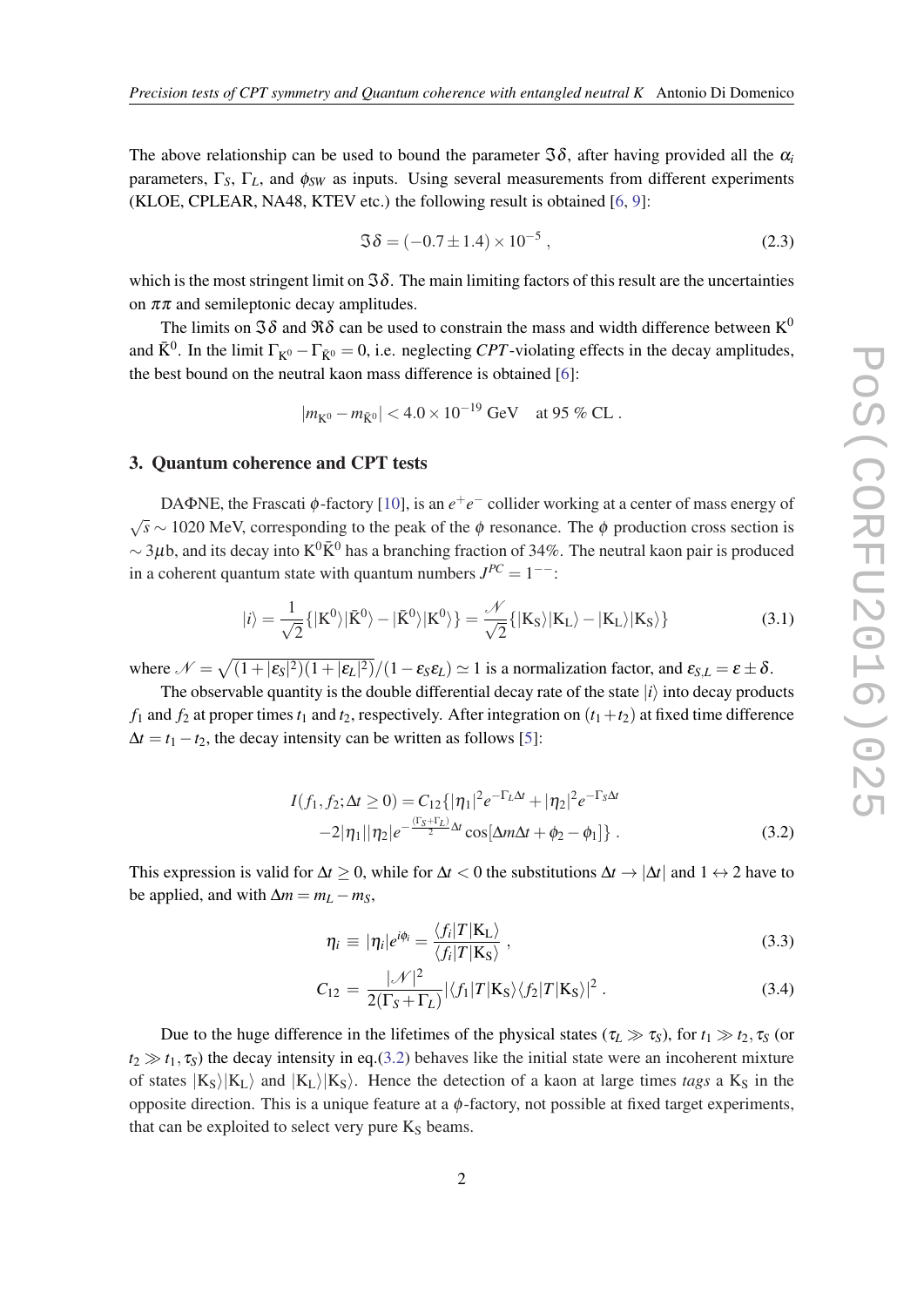<span id="page-2-0"></span>The above relationship can be used to bound the parameter  $\Im \delta$ , after having provided all the  $\alpha$ <sup>*i*</sup> parameters,  $\Gamma_S$ ,  $\Gamma_L$ , and  $\phi_{SW}$  as inputs. Using several measurements from different experiments (KLOE, CPLEAR, NA48, KTEV etc.) the following result is obtained [[6](#page-8-0), [9\]](#page-8-0):

$$
\Im \delta = (-0.7 \pm 1.4) \times 10^{-5}, \qquad (2.3)
$$

which is the most stringent limit on  $\Im\delta$ . The main limiting factors of this result are the uncertainties on  $\pi\pi$  and semileptonic decay amplitudes.

The limits on  $\Im \delta$  and  $\Re \delta$  can be used to constrain the mass and width difference between K<sup>0</sup> and  $\bar{K}^0$ . In the limit  $\Gamma_{K^0} - \Gamma_{\bar{K}^0} = 0$ , i.e. neglecting *CPT*-violating effects in the decay amplitudes, the best bound on the neutral kaon mass difference is obtained [\[6\]](#page-8-0):

$$
|m_{K^0} - m_{\bar{K}^0}| < 4.0 \times 10^{-19} \text{ GeV} \quad \text{at } 95\% \text{ CL} \,.
$$

#### 3. Quantum coherence and CPT tests

DAΦNE, the Frascati φ-factory [[10\]](#page-8-0), is an  $e^+e^-$  collider working at a center of mass energy of  $\sqrt{s}$  ∼ 1020 MeV, corresponding to the peak of the φ resonance. The φ production cross section is  $\sim$  3µb, and its decay into K<sup>0</sup> $\bar{K}^0$  has a branching fraction of 34%. The neutral kaon pair is produced in a coherent quantum state with quantum numbers  $J^{PC} = 1^{--}$ :

$$
|i\rangle = \frac{1}{\sqrt{2}}\{|K^0\rangle|\bar{K}^0\rangle - |\bar{K}^0\rangle|K^0\rangle\} = \frac{\mathcal{N}}{\sqrt{2}}\{|K_S\rangle|K_L\rangle - |K_L\rangle|K_S\rangle\}
$$
(3.1)

where  $\mathcal{N} = \sqrt{(1+|\epsilon_{S}|^2)(1+|\epsilon_{L}|^2)}/(1-\epsilon_{S}\epsilon_{L}) \simeq 1$  is a normalization factor, and  $\epsilon_{S,L} = \epsilon \pm \delta$ .

The observable quantity is the double differential decay rate of the state  $|i\rangle$  into decay products  $f_1$  and  $f_2$  at proper times  $t_1$  and  $t_2$ , respectively. After integration on  $(t_1+t_2)$  at fixed time difference  $\Delta t = t_1 - t_2$ , the decay intensity can be written as follows [[5](#page-8-0)]:

$$
I(f_1, f_2; \Delta t \ge 0) = C_{12} \{ |\eta_1|^2 e^{-\Gamma_L \Delta t} + |\eta_2|^2 e^{-\Gamma_S \Delta t} -2|\eta_1||\eta_2|e^{-\frac{(\Gamma_S + \Gamma_L)}{2}\Delta t} \cos[\Delta m \Delta t + \phi_2 - \phi_1] \}.
$$
 (3.2)

This expression is valid for  $\Delta t \geq 0$ , while for  $\Delta t < 0$  the substitutions  $\Delta t \to |\Delta t|$  and  $1 \leftrightarrow 2$  have to be applied, and with  $\Delta m = m_L - m_S$ ,

$$
\eta_i \equiv |\eta_i|e^{i\phi_i} = \frac{\langle f_i|T|K_{\rm L}\rangle}{\langle f_i|T|K_{\rm S}\rangle} \,, \tag{3.3}
$$

$$
C_{12} = \frac{|\mathcal{N}|^2}{2(\Gamma_S + \Gamma_L)} |\langle f_1 | T | \mathbf{K}_S \rangle \langle f_2 | T | \mathbf{K}_S \rangle|^2.
$$
 (3.4)

Due to the huge difference in the lifetimes of the physical states ( $\tau_L \gg \tau_s$ ), for  $t_1 \gg t_2$ ,  $\tau_s$  (or  $t_2 \gg t_1$ ,  $\tau_s$ ) the decay intensity in eq.(3.2) behaves like the initial state were an incoherent mixture of states  $|K_S\rangle|K_L\rangle$  and  $|K_L\rangle|K_S\rangle$ . Hence the detection of a kaon at large times *tags* a K<sub>S</sub> in the opposite direction. This is a unique feature at a  $\phi$ -factory, not possible at fixed target experiments, that can be exploited to select very pure  $K<sub>S</sub>$  beams.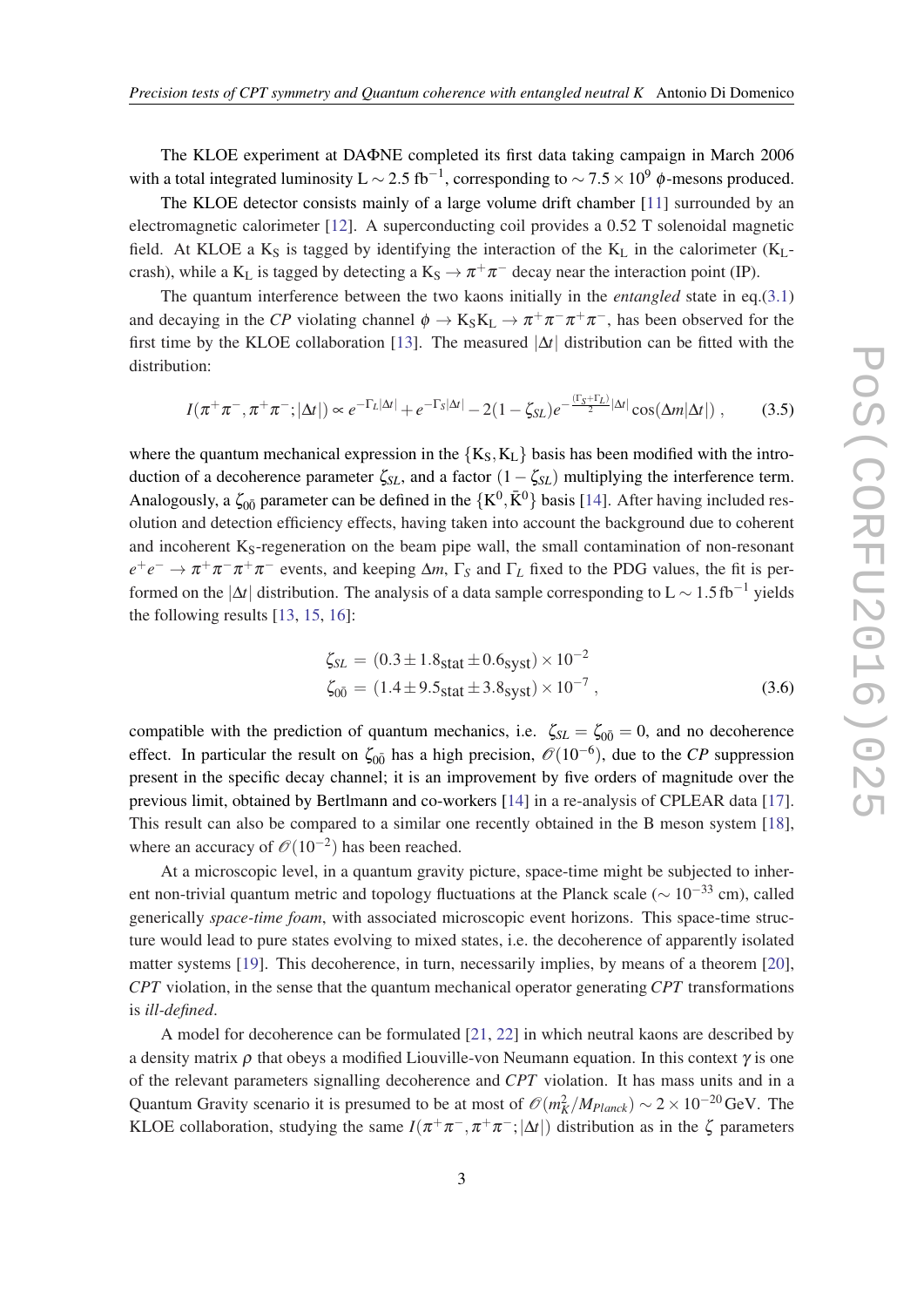The KLOE experiment at DAΦNE completed its first data taking campaign in March 2006 with a total integrated luminosity L  $\sim$  2.5 fb<sup>-1</sup>, corresponding to  $\sim$  7.5  $\times$  10<sup>9</sup>  $\phi$ -mesons produced.

The KLOE detector consists mainly of a large volume drift chamber [[11](#page-8-0)] surrounded by an electromagnetic calorimeter [\[12\]](#page-8-0). A superconducting coil provides a 0.52 T solenoidal magnetic field. At KLOE a  $K_S$  is tagged by identifying the interaction of the  $K_L$  in the calorimeter  $(K_L$ crash), while a K<sub>L</sub> is tagged by detecting a K<sub>S</sub>  $\rightarrow \pi^+\pi^-$  decay near the interaction point (IP).

The quantum interference between the two kaons initially in the *entangled* state in eq.([3.1](#page-2-0)) and decaying in the *CP* violating channel  $\phi \to K_S K_L \to \pi^+ \pi^- \pi^+ \pi^-$ , has been observed for the first time by the KLOE collaboration [\[13](#page-8-0)]. The measured |∆*t*| distribution can be fitted with the distribution:

$$
I(\pi^+\pi^-, \pi^+\pi^-; |\Delta t|) \propto e^{-\Gamma_L|\Delta t|} + e^{-\Gamma_S|\Delta t|} - 2(1 - \zeta_{SL})e^{-\frac{(\Gamma_S + \Gamma_L)}{2}|\Delta t|} \cos(\Delta m|\Delta t|) , \tag{3.5}
$$

where the quantum mechanical expression in the  ${K_S, K_L}$  basis has been modified with the introduction of a decoherence parameter  $\zeta_{SL}$ , and a factor  $(1-\zeta_{SL})$  multiplying the interference term. Analogously, a  $\zeta_{00}$  parameter can be defined in the  $\{K^0, \bar{K}^0\}$  basis [\[14\]](#page-8-0). After having included resolution and detection efficiency effects, having taken into account the background due to coherent and incoherent  $K_S$ -regeneration on the beam pipe wall, the small contamination of non-resonant  $e^+e^- \to \pi^+\pi^-\pi^+\pi^-$  events, and keeping  $\Delta m$ ,  $\Gamma_S$  and  $\Gamma_L$  fixed to the PDG values, the fit is performed on the  $|\Delta t|$  distribution. The analysis of a data sample corresponding to L  $\sim 1.5\,\text{fb}^{-1}$  yields the following results [\[13](#page-8-0), [15](#page-8-0), [16\]](#page-8-0):

$$
\zeta_{SL} = (0.3 \pm 1.8_{\text{stat}} \pm 0.6_{\text{syst}}) \times 10^{-2}
$$
  

$$
\zeta_{0\bar{0}} = (1.4 \pm 9.5_{\text{stat}} \pm 3.8_{\text{syst}}) \times 10^{-7},
$$
 (3.6)

compatible with the prediction of quantum mechanics, i.e.  $\zeta_{SL} = \zeta_{00} = 0$ , and no decoherence effect. In particular the result on  $\zeta_{00}$  has a high precision,  $\mathcal{O}(10^{-6})$ , due to the *CP* suppression present in the specific decay channel; it is an improvement by five orders of magnitude over the previous limit, obtained by Bertlmann and co-workers [[14\]](#page-8-0) in a re-analysis of CPLEAR data [[17\]](#page-8-0). This result can also be compared to a similar one recently obtained in the B meson system [[18\]](#page-8-0), where an accuracy of  $\mathcal{O}(10^{-2})$  has been reached.

At a microscopic level, in a quantum gravity picture, space-time might be subjected to inherent non-trivial quantum metric and topology fluctuations at the Planck scale ( $\sim 10^{-33}$  cm), called generically *space-time foam*, with associated microscopic event horizons. This space-time structure would lead to pure states evolving to mixed states, i.e. the decoherence of apparently isolated matter systems [[19\]](#page-8-0). This decoherence, in turn, necessarily implies, by means of a theorem [[20\]](#page-8-0), *CPT* violation, in the sense that the quantum mechanical operator generating *CPT* transformations is *ill-defined*.

A model for decoherence can be formulated [\[21](#page-8-0), [22\]](#page-8-0) in which neutral kaons are described by a density matrix  $\rho$  that obeys a modified Liouville-von Neumann equation. In this context  $\gamma$  is one of the relevant parameters signalling decoherence and *CPT* violation. It has mass units and in a Quantum Gravity scenario it is presumed to be at most of  $\mathcal{O}(m_K^2/M_{Planck}) \sim 2 \times 10^{-20}$  GeV. The KLOE collaboration, studying the same  $I(\pi^+\pi^-, \pi^+\pi^-; |\Delta t|)$  distribution as in the  $\zeta$  parameters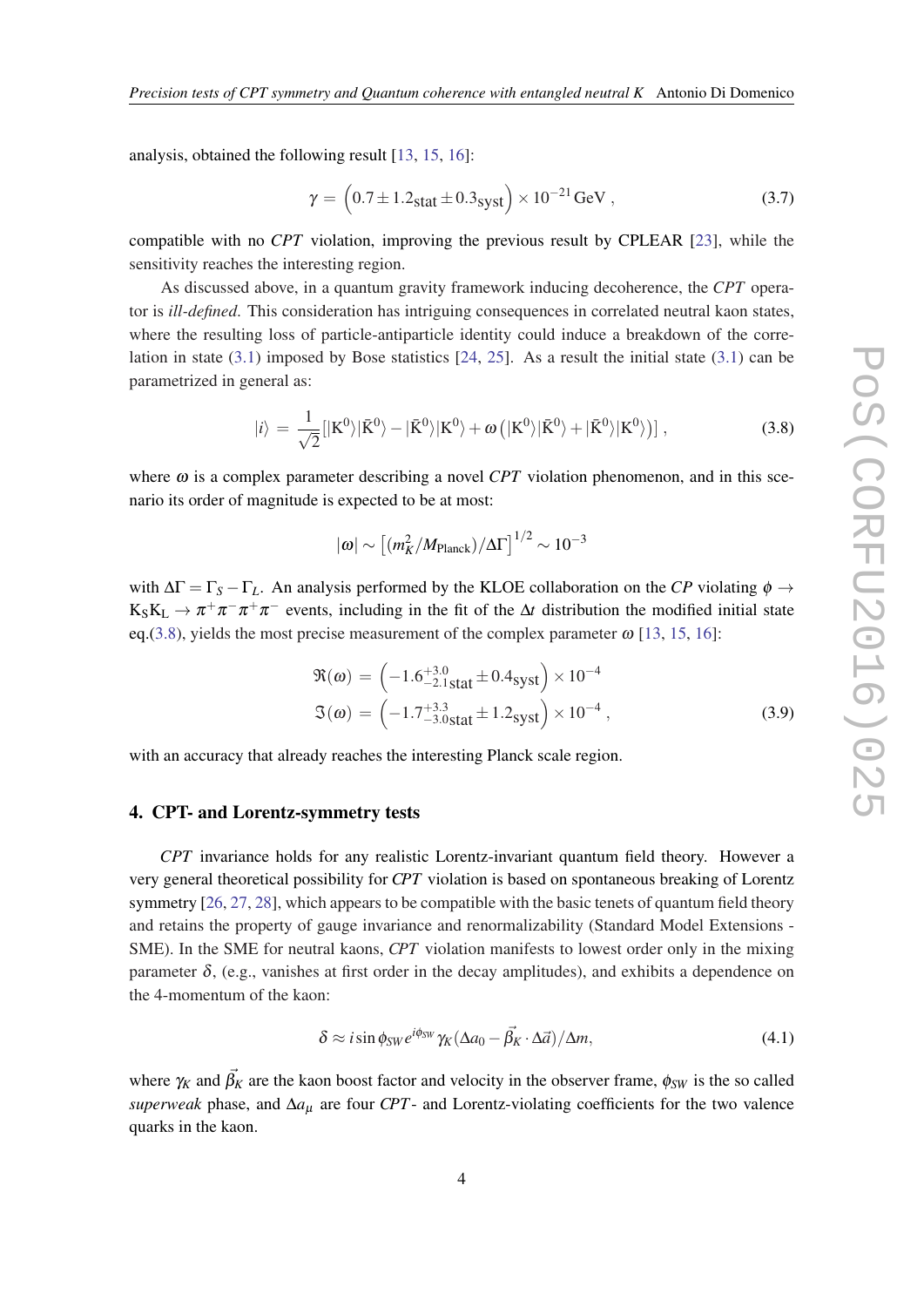analysis, obtained the following result [[13,](#page-8-0) [15](#page-8-0), [16](#page-8-0)]:

$$
\gamma = (0.7 \pm 1.2_{\text{stat}} \pm 0.3_{\text{syst}}) \times 10^{-21} \,\text{GeV} \,, \tag{3.7}
$$

compatible with no *CPT* violation, improving the previous result by CPLEAR [\[23](#page-8-0)], while the sensitivity reaches the interesting region.

As discussed above, in a quantum gravity framework inducing decoherence, the *CPT* operator is *ill-defined*. This consideration has intriguing consequences in correlated neutral kaon states, where the resulting loss of particle-antiparticle identity could induce a breakdown of the correlation in state ([3.1\)](#page-2-0) imposed by Bose statistics [[24,](#page-8-0) [25\]](#page-8-0). As a result the initial state [\(3.1\)](#page-2-0) can be parametrized in general as:

$$
|i\rangle = \frac{1}{\sqrt{2}}[|K^0\rangle|\bar{K}^0\rangle - |\bar{K}^0\rangle|K^0\rangle + \omega\left(|K^0\rangle|\bar{K}^0\rangle + |\bar{K}^0\rangle|K^0\rangle\right)],
$$
\n(3.8)

where  $\omega$  is a complex parameter describing a novel *CPT* violation phenomenon, and in this scenario its order of magnitude is expected to be at most:

$$
|\omega|\sim \left[(m_K^2/M_{\rm Planck})/\Delta\Gamma\right]^{1/2}\sim 10^{-3}
$$

with  $\Delta\Gamma = \Gamma_S - \Gamma_L$ . An analysis performed by the KLOE collaboration on the *CP* violating  $\phi \rightarrow$  $K_S K_L \to \pi^+ \pi^- \pi^+ \pi^-$  events, including in the fit of the  $\Delta t$  distribution the modified initial state eq.(3.8), yields the most precise measurement of the complex parameter  $\omega$  [\[13](#page-8-0), [15](#page-8-0), [16\]](#page-8-0):

$$
\mathfrak{R}(\omega) = \left(-1.6^{+3.0}_{-2.1 \text{stat}} \pm 0.4 \text{syst}\right) \times 10^{-4}
$$
  

$$
\mathfrak{I}(\omega) = \left(-1.7^{+3.3}_{-3.0 \text{stat}} \pm 1.2 \text{syst}\right) \times 10^{-4},
$$
 (3.9)

with an accuracy that already reaches the interesting Planck scale region.

# 4. CPT- and Lorentz-symmetry tests

*CPT* invariance holds for any realistic Lorentz-invariant quantum field theory. However a very general theoretical possibility for *CPT* violation is based on spontaneous breaking of Lorentz symmetry [[26,](#page-8-0) [27](#page-9-0), [28](#page-9-0)], which appears to be compatible with the basic tenets of quantum field theory and retains the property of gauge invariance and renormalizability (Standard Model Extensions - SME). In the SME for neutral kaons, *CPT* violation manifests to lowest order only in the mixing parameter  $\delta$ , (e.g., vanishes at first order in the decay amplitudes), and exhibits a dependence on the 4-momentum of the kaon:

$$
\delta \approx i \sin \phi_{SW} e^{i\phi_{SW}} \gamma_K (\Delta a_0 - \vec{\beta_K} \cdot \Delta \vec{a}) / \Delta m, \tag{4.1}
$$

where  $\gamma_K$  and  $\vec{\beta_K}$  are the kaon boost factor and velocity in the observer frame,  $\phi_{SW}$  is the so called *superweak* phase, and ∆*a*<sup>µ</sup> are four *CPT*- and Lorentz-violating coefficients for the two valence quarks in the kaon.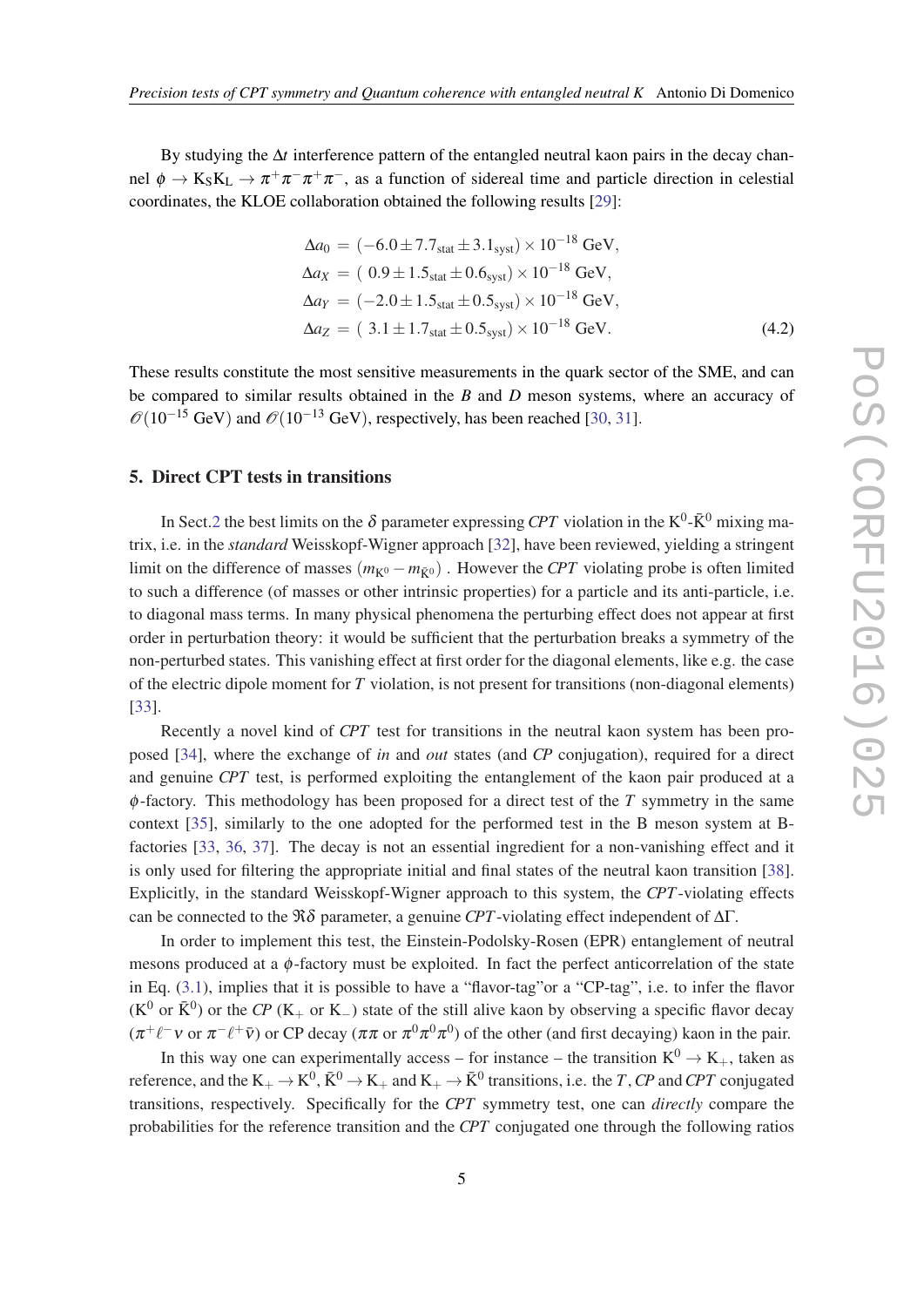By studying the ∆*t* interference pattern of the entangled neutral kaon pairs in the decay channel  $\phi \to K_S K_L \to \pi^+ \pi^- \pi^+ \pi^-$ , as a function of sidereal time and particle direction in celestial coordinates, the KLOE collaboration obtained the following results [\[29](#page-9-0)]:

$$
\Delta a_0 = (-6.0 \pm 7.7_{\text{stat}} \pm 3.1_{\text{syst}}) \times 10^{-18} \text{ GeV},
$$
  
\n
$$
\Delta a_X = (0.9 \pm 1.5_{\text{stat}} \pm 0.6_{\text{syst}}) \times 10^{-18} \text{ GeV},
$$
  
\n
$$
\Delta a_Y = (-2.0 \pm 1.5_{\text{stat}} \pm 0.5_{\text{syst}}) \times 10^{-18} \text{ GeV},
$$
  
\n
$$
\Delta a_Z = (3.1 \pm 1.7_{\text{stat}} \pm 0.5_{\text{syst}}) \times 10^{-18} \text{ GeV}.
$$
 (4.2)

These results constitute the most sensitive measurements in the quark sector of the SME, and can be compared to similar results obtained in the *B* and *D* meson systems, where an accuracy of  $\mathcal{O}(10^{-15} \text{ GeV})$  and  $\mathcal{O}(10^{-13} \text{ GeV})$ , respectively, has been reached [\[30](#page-9-0), [31\]](#page-9-0).

# 5. Direct CPT tests in transitions

In Sect.[2](#page-1-0) the best limits on the  $\delta$  parameter expressing *CPT* violation in the K<sup>0</sup>- $\bar{K}^0$  mixing matrix, i.e. in the *standard* Weisskopf-Wigner approach [\[32\]](#page-9-0), have been reviewed, yielding a stringent limit on the difference of masses  $(m_{K^0} - m_{\bar{K}^0})$ . However the *CPT* violating probe is often limited to such a difference (of masses or other intrinsic properties) for a particle and its anti-particle, i.e. to diagonal mass terms. In many physical phenomena the perturbing effect does not appear at first order in perturbation theory: it would be sufficient that the perturbation breaks a symmetry of the non-perturbed states. This vanishing effect at first order for the diagonal elements, like e.g. the case of the electric dipole moment for *T* violation, is not present for transitions (non-diagonal elements) [[33\]](#page-9-0).

Recently a novel kind of *CPT* test for transitions in the neutral kaon system has been proposed [\[34](#page-9-0)], where the exchange of *in* and *out* states (and *CP* conjugation), required for a direct and genuine *CPT* test, is performed exploiting the entanglement of the kaon pair produced at a φ-factory. This methodology has been proposed for a direct test of the *T* symmetry in the same context [\[35](#page-9-0)], similarly to the one adopted for the performed test in the B meson system at Bfactories [\[33,](#page-9-0) [36](#page-9-0), [37\]](#page-9-0). The decay is not an essential ingredient for a non-vanishing effect and it is only used for filtering the appropriate initial and final states of the neutral kaon transition [[38\]](#page-9-0). Explicitly, in the standard Weisskopf-Wigner approach to this system, the *CPT*-violating effects can be connected to the  $\Re\delta$  parameter, a genuine *CPT*-violating effect independent of  $\Delta\Gamma$ .

In order to implement this test, the Einstein-Podolsky-Rosen (EPR) entanglement of neutral mesons produced at a  $\phi$ -factory must be exploited. In fact the perfect anticorrelation of the state in Eq. [\(3.1\)](#page-2-0), implies that it is possible to have a "flavor-tag"or a "CP-tag", i.e. to infer the flavor ( $K^0$  or  $\bar{K}^0$ ) or the *CP* (K<sub>+</sub> or K<sub>−</sub>) state of the still alive kaon by observing a specific flavor decay  $(\pi^+\ell^- \nu \text{ or } \pi^-\ell^+ \bar{\nu})$  or CP decay  $(\pi \pi \text{ or } \pi^0 \pi^0 \pi^0)$  of the other (and first decaying) kaon in the pair.

In this way one can experimentally access – for instance – the transition  $K^0 \rightarrow K_+$ , taken as reference, and the  $K_+ \to K^0$ ,  $\bar{K}^0 \to K_+$  and  $K_+ \to \bar{K}^0$  transitions, i.e. the *T*, *CP* and *CPT* conjugated transitions, respectively. Specifically for the *CPT* symmetry test, one can *directly* compare the probabilities for the reference transition and the *CPT* conjugated one through the following ratios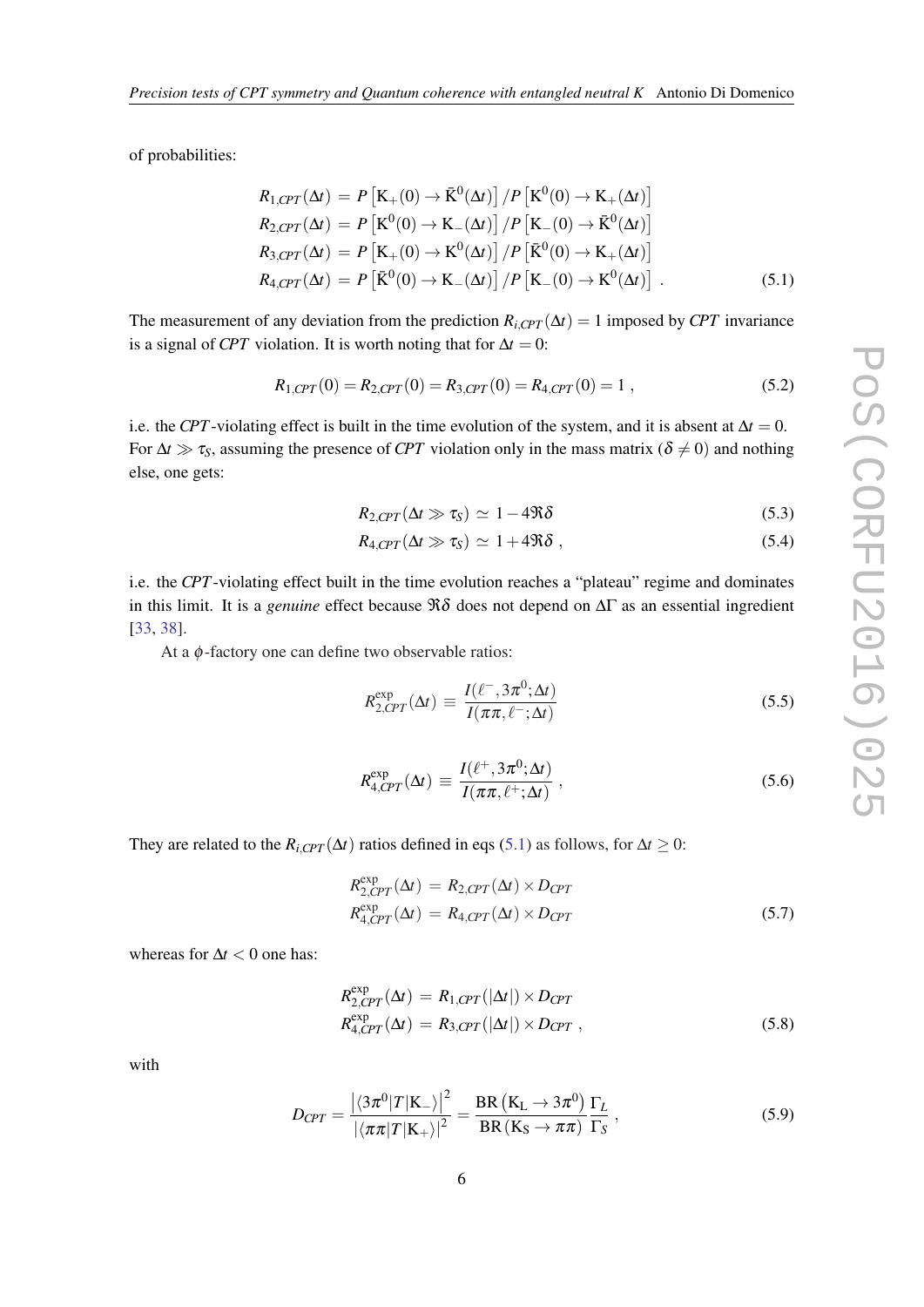of probabilities:

$$
R_{1, CPT}(\Delta t) = P\left[\mathbf{K}_{+}(0) \rightarrow \bar{\mathbf{K}}^{0}(\Delta t)\right] / P\left[\mathbf{K}^{0}(0) \rightarrow \mathbf{K}_{+}(\Delta t)\right]
$$
  
\n
$$
R_{2, CPT}(\Delta t) = P\left[\mathbf{K}^{0}(0) \rightarrow \mathbf{K}_{-}(\Delta t)\right] / P\left[\mathbf{K}_{-}(0) \rightarrow \bar{\mathbf{K}}^{0}(\Delta t)\right]
$$
  
\n
$$
R_{3, CPT}(\Delta t) = P\left[\mathbf{K}_{+}(0) \rightarrow \mathbf{K}^{0}(\Delta t)\right] / P\left[\bar{\mathbf{K}}^{0}(0) \rightarrow \mathbf{K}_{+}(\Delta t)\right]
$$
  
\n
$$
R_{4, CPT}(\Delta t) = P\left[\bar{\mathbf{K}}^{0}(0) \rightarrow \mathbf{K}_{-}(\Delta t)\right] / P\left[\mathbf{K}_{-}(0) \rightarrow \mathbf{K}^{0}(\Delta t)\right].
$$
 (5.1)

The measurement of any deviation from the prediction  $R_{i, CPT}(\Delta t) = 1$  imposed by *CPT* invariance is a signal of *CPT* violation. It is worth noting that for  $\Delta t = 0$ :

$$
R_{1, CPT}(0) = R_{2, CPT}(0) = R_{3, CPT}(0) = R_{4, CPT}(0) = 1,
$$
\n(5.2)

i.e. the *CPT*-violating effect is built in the time evolution of the system, and it is absent at  $\Delta t = 0$ . For  $\Delta t \gg \tau_s$ , assuming the presence of *CPT* violation only in the mass matrix ( $\delta \neq 0$ ) and nothing else, one gets:

$$
R_{2,CPT}(\Delta t \gg \tau_S) \simeq 1 - 4\Re\delta \tag{5.3}
$$

$$
R_{4, CPT}(\Delta t \gg \tau_S) \simeq 1 + 4\Re\delta \;, \tag{5.4}
$$

i.e. the *CPT*-violating effect built in the time evolution reaches a "plateau" regime and dominates in this limit. It is a *genuine* effect because  $\Re\delta$  does not depend on  $\Delta\Gamma$  as an essential ingredient [[33,](#page-9-0) [38](#page-9-0)].

At a  $\phi$ -factory one can define two observable ratios:

$$
R_{2,CPT}^{\exp}(\Delta t) \equiv \frac{I(\ell^-, 3\pi^0; \Delta t)}{I(\pi\pi, \ell^-; \Delta t)}
$$
(5.5)

$$
R_{4,CPT}^{\exp}(\Delta t) \equiv \frac{I(\ell^+, 3\pi^0; \Delta t)}{I(\pi\pi, \ell^+; \Delta t)}, \qquad (5.6)
$$

They are related to the  $R_{i, CPT}(\Delta t)$  ratios defined in eqs (5.1) as follows, for  $\Delta t \geq 0$ :

$$
R_{2,CPT}^{\exp}(\Delta t) = R_{2,CPT}(\Delta t) \times D_{CPT}
$$
  
\n
$$
R_{4,CPT}^{\exp}(\Delta t) = R_{4,CPT}(\Delta t) \times D_{CPT}
$$
\n(5.7)

whereas for ∆*t* < 0 one has:

$$
R_{2,CPT}^{\exp}(\Delta t) = R_{1,CPT}(|\Delta t|) \times D_{CPT}
$$
  
\n
$$
R_{4,CPT}^{\exp}(\Delta t) = R_{3,CPT}(|\Delta t|) \times D_{CPT},
$$
\n(5.8)

with

$$
D_{CPT} = \frac{\left| \langle 3\pi^0 | T | K_- \rangle \right|^2}{\left| \langle \pi \pi | T | K_+ \rangle \right|^2} = \frac{\text{BR} \left( K_L \to 3\pi^0 \right)}{\text{BR} \left( K_S \to \pi \pi \right)} \frac{\Gamma_L}{\Gamma_S} \,, \tag{5.9}
$$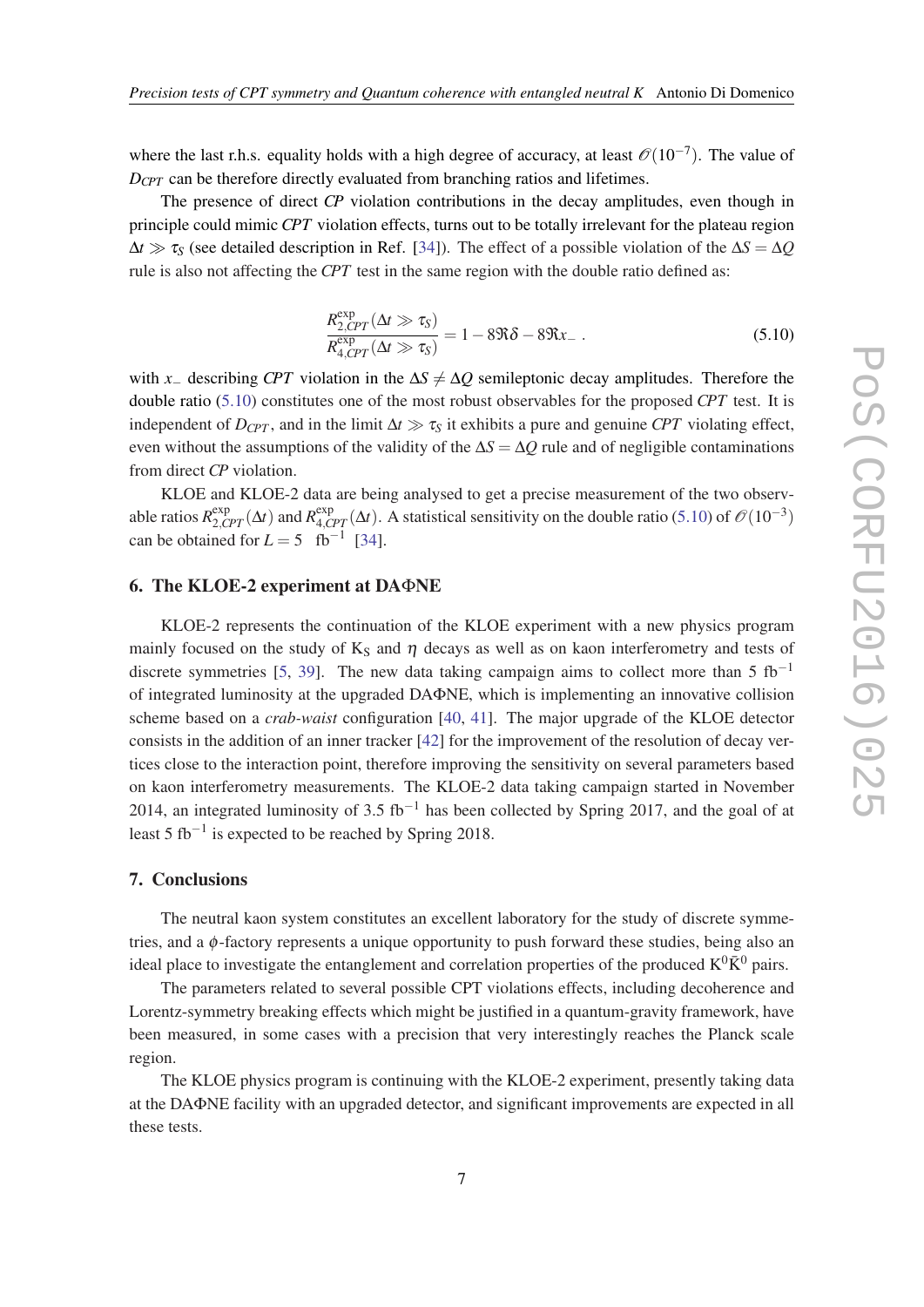where the last r.h.s. equality holds with a high degree of accuracy, at least  $\mathcal{O}(10^{-7})$ . The value of *D*<sub>*CPT*</sub> can be therefore directly evaluated from branching ratios and lifetimes.

The presence of direct *CP* violation contributions in the decay amplitudes, even though in principle could mimic *CPT* violation effects, turns out to be totally irrelevant for the plateau region  $\Delta t \gg \tau_s$  (see detailed description in Ref. [[34\]](#page-9-0)). The effect of a possible violation of the  $\Delta S = \Delta Q$ rule is also not affecting the *CPT* test in the same region with the double ratio defined as:

$$
\frac{R_{2,CPT}^{\exp}(\Delta t \gg \tau_{S})}{R_{4,CPT}^{\exp}(\Delta t \gg \tau_{S})} = 1 - 8\Re\delta - 8\Re x_{-} \ . \tag{5.10}
$$

with *x*− describing *CPT* violation in the  $\Delta S \neq \Delta Q$  semileptonic decay amplitudes. Therefore the double ratio (5.10) constitutes one of the most robust observables for the proposed *CPT* test. It is independent of  $D_{CPT}$ , and in the limit  $\Delta t \gg \tau_s$  it exhibits a pure and genuine *CPT* violating effect, even without the assumptions of the validity of the ∆*S* = ∆*Q* rule and of negligible contaminations from direct *CP* violation.

KLOE and KLOE-2 data are being analysed to get a precise measurement of the two observable ratios  $R_{2,CPT}^{\text{exp}}(\Delta t)$  and  $R_{4,CPT}^{\text{exp}}(\Delta t)$ . A statistical sensitivity on the double ratio (5.10) of  $\mathcal{O}(10^{-3})$ can be obtained for  $L = 5$  fb<sup>-1</sup> [\[34](#page-9-0)].

## 6. The KLOE-2 experiment at DAΦNE

KLOE-2 represents the continuation of the KLOE experiment with a new physics program mainly focused on the study of  $K_S$  and  $\eta$  decays as well as on kaon interferometry and tests of discrete symmetries [[5](#page-8-0), [39](#page-9-0)]. The new data taking campaign aims to collect more than 5  $fb^{-1}$ of integrated luminosity at the upgraded DAΦNE, which is implementing an innovative collision scheme based on a *crab-waist* configuration [\[40](#page-9-0), [41](#page-9-0)]. The major upgrade of the KLOE detector consists in the addition of an inner tracker [\[42\]](#page-9-0) for the improvement of the resolution of decay vertices close to the interaction point, therefore improving the sensitivity on several parameters based on kaon interferometry measurements. The KLOE-2 data taking campaign started in November 2014, an integrated luminosity of 3.5 fb<sup>-1</sup> has been collected by Spring 2017, and the goal of at least 5 fb<sup>-1</sup> is expected to be reached by Spring 2018.

# 7. Conclusions

The neutral kaon system constitutes an excellent laboratory for the study of discrete symmetries, and a φ-factory represents a unique opportunity to push forward these studies, being also an ideal place to investigate the entanglement and correlation properties of the produced  $K^0\bar{K}^0$  pairs.

The parameters related to several possible CPT violations effects, including decoherence and Lorentz-symmetry breaking effects which might be justified in a quantum-gravity framework, have been measured, in some cases with a precision that very interestingly reaches the Planck scale region.

The KLOE physics program is continuing with the KLOE-2 experiment, presently taking data at the DAΦNE facility with an upgraded detector, and significant improvements are expected in all these tests.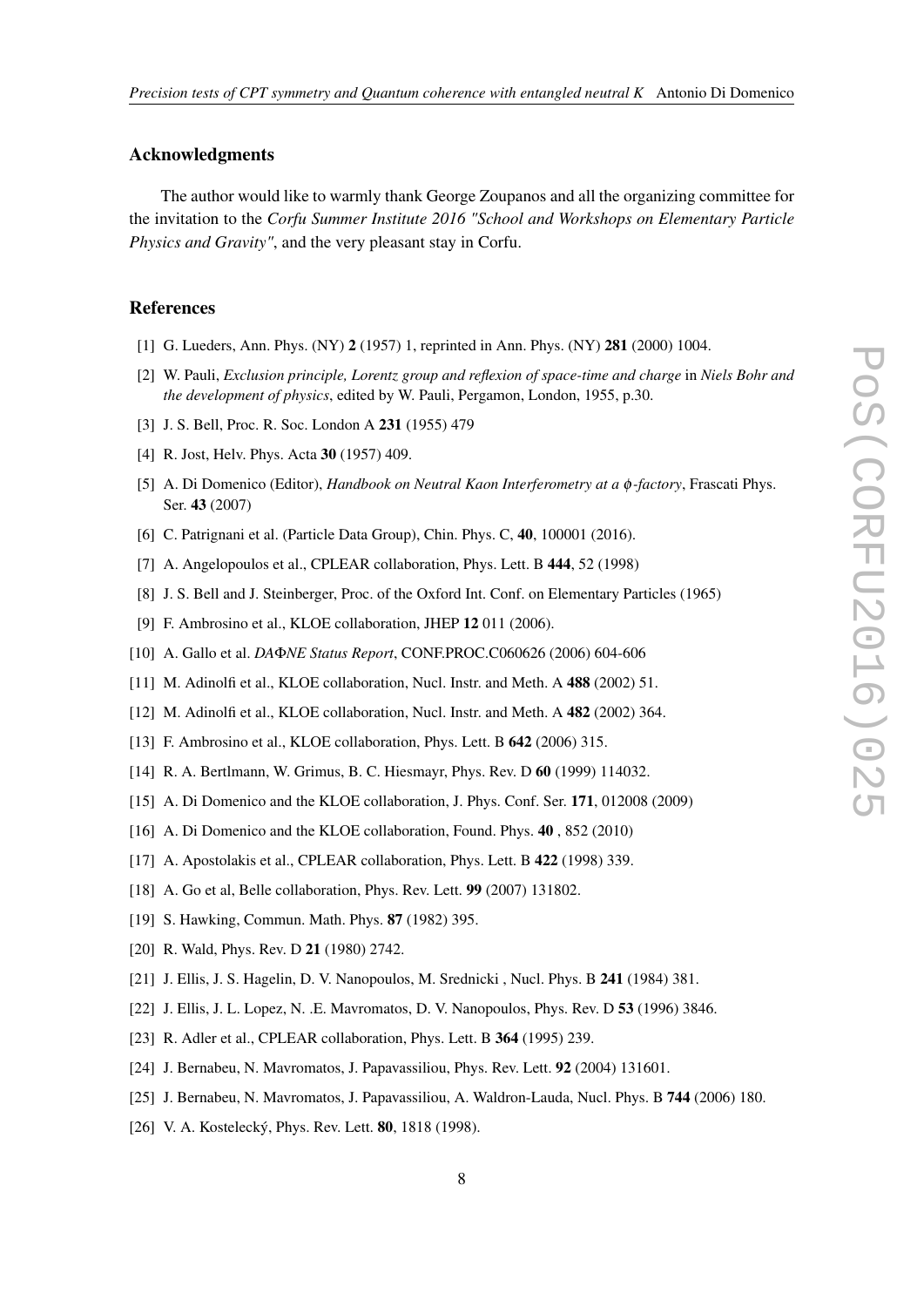## <span id="page-8-0"></span>Acknowledgments

The author would like to warmly thank George Zoupanos and all the organizing committee for the invitation to the *Corfu Summer Institute 2016 "School and Workshops on Elementary Particle Physics and Gravity"*, and the very pleasant stay in Corfu.

## References

- [1] G. Lueders, Ann. Phys. (NY) 2 (1957) 1, reprinted in Ann. Phys. (NY) 281 (2000) 1004.
- [2] W. Pauli, *Exclusion principle, Lorentz group and reflexion of space-time and charge* in *Niels Bohr and the development of physics*, edited by W. Pauli, Pergamon, London, 1955, p.30.
- [3] J. S. Bell, Proc. R. Soc. London A 231 (1955) 479
- [4] R. Jost, Helv. Phys. Acta **30** (1957) 409.
- [5] A. Di Domenico (Editor), *Handbook on Neutral Kaon Interferometry at a* φ*-factory*, Frascati Phys. Ser. 43 (2007)
- [6] C. Patrignani et al. (Particle Data Group), Chin. Phys. C, 40, 100001 (2016).
- [7] A. Angelopoulos et al., CPLEAR collaboration, Phys. Lett. B 444, 52 (1998)
- [8] J. S. Bell and J. Steinberger, Proc. of the Oxford Int. Conf. on Elementary Particles (1965)
- [9] F. Ambrosino et al., KLOE collaboration, JHEP 12 011 (2006).
- [10] A. Gallo et al. *DA*Φ*NE Status Report*, CONF.PROC.C060626 (2006) 604-606
- [11] M. Adinolfi et al., KLOE collaboration, Nucl. Instr. and Meth. A 488 (2002) 51.
- [12] M. Adinolfi et al., KLOE collaboration, Nucl. Instr. and Meth. A 482 (2002) 364.
- [13] F. Ambrosino et al., KLOE collaboration, Phys. Lett. B 642 (2006) 315.
- [14] R. A. Bertlmann, W. Grimus, B. C. Hiesmayr, Phys. Rev. D 60 (1999) 114032.
- [15] A. Di Domenico and the KLOE collaboration, J. Phys. Conf. Ser. 171, 012008 (2009)
- [16] A. Di Domenico and the KLOE collaboration, Found. Phys. 40, 852 (2010)
- [17] A. Apostolakis et al., CPLEAR collaboration, Phys. Lett. B 422 (1998) 339.
- [18] A. Go et al, Belle collaboration, Phys. Rev. Lett. 99 (2007) 131802.
- [19] S. Hawking, Commun. Math. Phys. 87 (1982) 395.
- [20] R. Wald, Phys. Rev. D **21** (1980) 2742.
- [21] J. Ellis, J. S. Hagelin, D. V. Nanopoulos, M. Srednicki , Nucl. Phys. B 241 (1984) 381.
- [22] J. Ellis, J. L. Lopez, N. .E. Mavromatos, D. V. Nanopoulos, Phys. Rev. D 53 (1996) 3846.
- [23] R. Adler et al., CPLEAR collaboration, Phys. Lett. B 364 (1995) 239.
- [24] J. Bernabeu, N. Mavromatos, J. Papavassiliou, Phys. Rev. Lett. 92 (2004) 131601.
- [25] J. Bernabeu, N. Mavromatos, J. Papavassiliou, A. Waldron-Lauda, Nucl. Phys. B 744 (2006) 180.
- [26] V. A. Kostelecký, Phys. Rev. Lett. **80**, 1818 (1998).